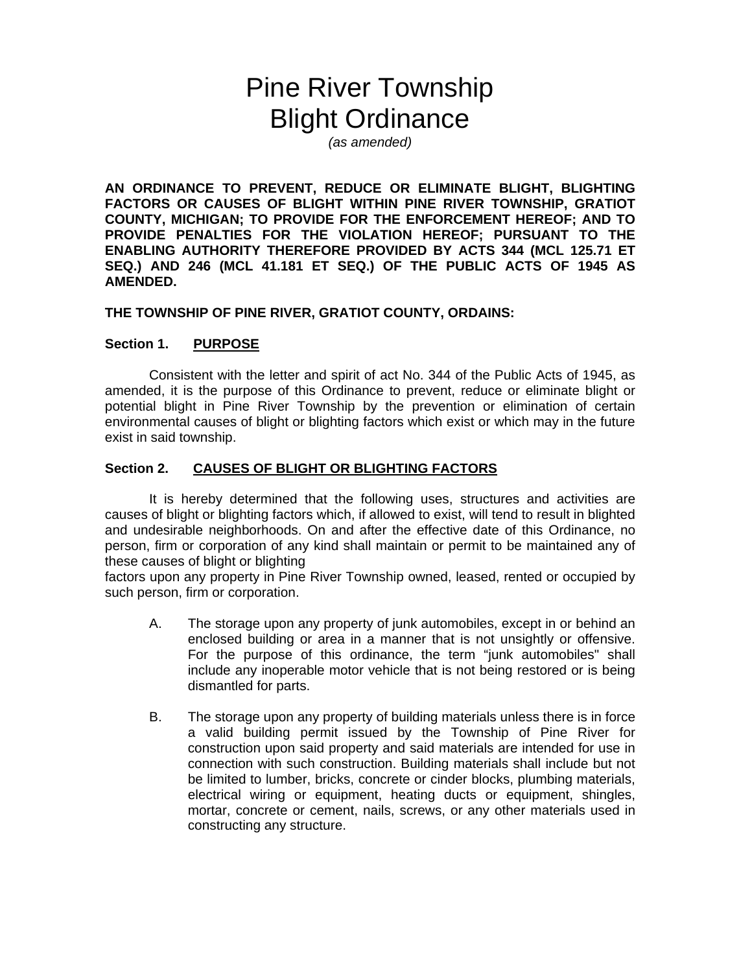# Pine River Township Blight Ordinance

*(as amended)* 

**AN ORDINANCE TO PREVENT, REDUCE OR ELIMINATE BLIGHT, BLIGHTING FACTORS OR CAUSES OF BLIGHT WITHIN PINE RIVER TOWNSHIP, GRATIOT COUNTY, MICHIGAN; TO PROVIDE FOR THE ENFORCEMENT HEREOF; AND TO PROVIDE PENALTIES FOR THE VIOLATION HEREOF; PURSUANT TO THE ENABLING AUTHORITY THEREFORE PROVIDED BY ACTS 344 (MCL 125.71 ET SEQ.) AND 246 (MCL 41.181 ET SEQ.) OF THE PUBLIC ACTS OF 1945 AS AMENDED.** 

#### **THE TOWNSHIP OF PINE RIVER, GRATIOT COUNTY, ORDAINS:**

#### **Section 1. PURPOSE**

Consistent with the letter and spirit of act No. 344 of the Public Acts of 1945, as amended, it is the purpose of this Ordinance to prevent, reduce or eliminate blight or potential blight in Pine River Township by the prevention or elimination of certain environmental causes of blight or blighting factors which exist or which may in the future exist in said township.

#### **Section 2. CAUSES OF BLIGHT OR BLIGHTING FACTORS**

It is hereby determined that the following uses, structures and activities are causes of blight or blighting factors which, if allowed to exist, will tend to result in blighted and undesirable neighborhoods. On and after the effective date of this Ordinance, no person, firm or corporation of any kind shall maintain or permit to be maintained any of these causes of blight or blighting

factors upon any property in Pine River Township owned, leased, rented or occupied by such person, firm or corporation.

- A. The storage upon any property of junk automobiles, except in or behind an enclosed building or area in a manner that is not unsightly or offensive. For the purpose of this ordinance, the term "junk automobiles" shall include any inoperable motor vehicle that is not being restored or is being dismantled for parts.
- B. The storage upon any property of building materials unless there is in force a valid building permit issued by the Township of Pine River for construction upon said property and said materials are intended for use in connection with such construction. Building materials shall include but not be limited to lumber, bricks, concrete or cinder blocks, plumbing materials, electrical wiring or equipment, heating ducts or equipment, shingles, mortar, concrete or cement, nails, screws, or any other materials used in constructing any structure.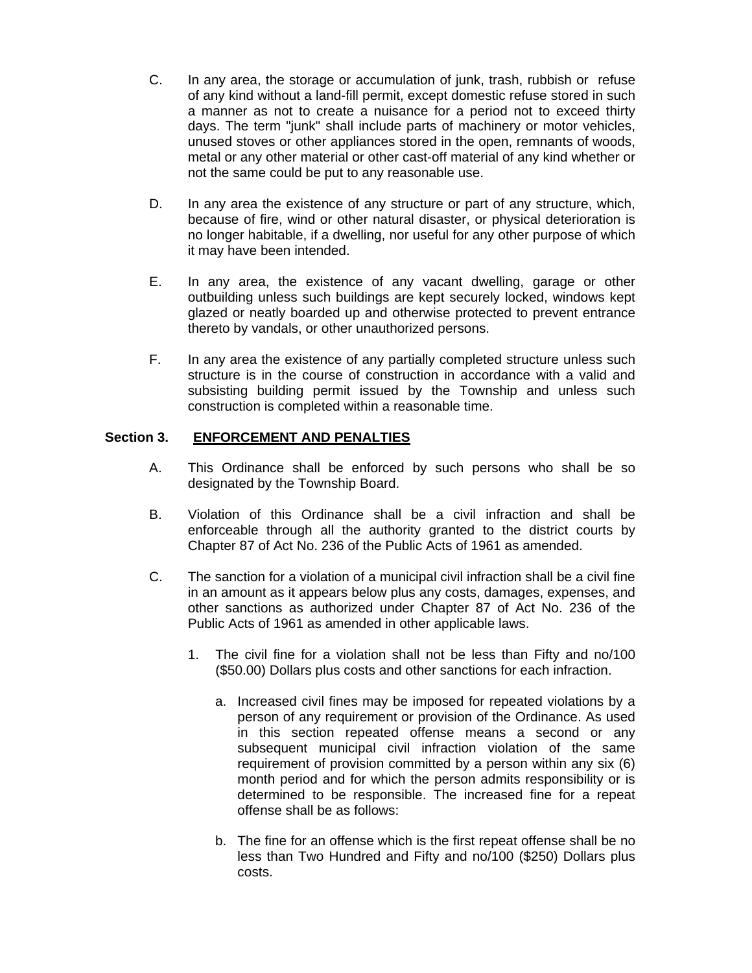- C. In any area, the storage or accumulation of junk, trash, rubbish or refuse of any kind without a land-fill permit, except domestic refuse stored in such a manner as not to create a nuisance for a period not to exceed thirty days. The term "junk" shall include parts of machinery or motor vehicles, unused stoves or other appliances stored in the open, remnants of woods, metal or any other material or other cast-off material of any kind whether or not the same could be put to any reasonable use.
- D. In any area the existence of any structure or part of any structure, which, because of fire, wind or other natural disaster, or physical deterioration is no longer habitable, if a dwelling, nor useful for any other purpose of which it may have been intended.
- E. In any area, the existence of any vacant dwelling, garage or other outbuilding unless such buildings are kept securely locked, windows kept glazed or neatly boarded up and otherwise protected to prevent entrance thereto by vandals, or other unauthorized persons.
- F. In any area the existence of any partially completed structure unless such structure is in the course of construction in accordance with a valid and subsisting building permit issued by the Township and unless such construction is completed within a reasonable time.

# **Section 3. ENFORCEMENT AND PENALTIES**

- A. This Ordinance shall be enforced by such persons who shall be so designated by the Township Board.
- B. Violation of this Ordinance shall be a civil infraction and shall be enforceable through all the authority granted to the district courts by Chapter 87 of Act No. 236 of the Public Acts of 1961 as amended.
- C. The sanction for a violation of a municipal civil infraction shall be a civil fine in an amount as it appears below plus any costs, damages, expenses, and other sanctions as authorized under Chapter 87 of Act No. 236 of the Public Acts of 1961 as amended in other applicable laws.
	- 1. The civil fine for a violation shall not be less than Fifty and no/100 (\$50.00) Dollars plus costs and other sanctions for each infraction.
		- a. Increased civil fines may be imposed for repeated violations by a person of any requirement or provision of the Ordinance. As used in this section repeated offense means a second or any subsequent municipal civil infraction violation of the same requirement of provision committed by a person within any six (6) month period and for which the person admits responsibility or is determined to be responsible. The increased fine for a repeat offense shall be as follows:
		- b. The fine for an offense which is the first repeat offense shall be no less than Two Hundred and Fifty and no/100 (\$250) Dollars plus costs.